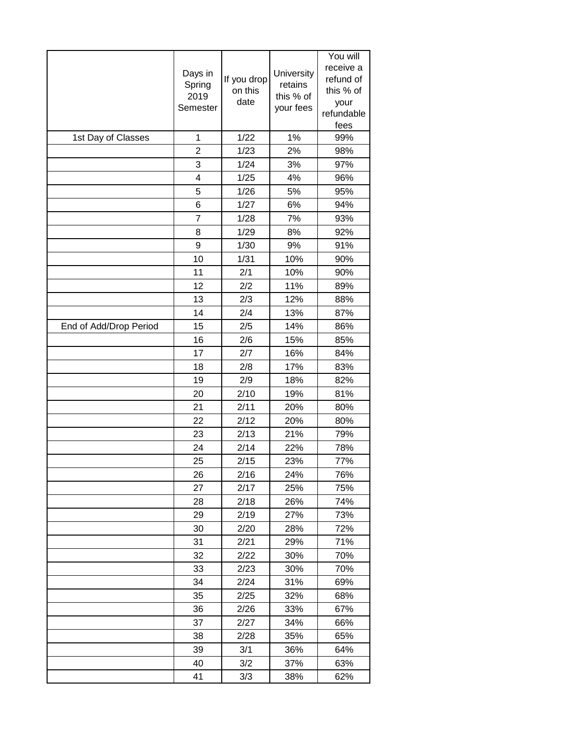|                        |                |              |            | You will           |
|------------------------|----------------|--------------|------------|--------------------|
|                        | Days in        |              | University | receive a          |
|                        | Spring         | If you drop  | retains    | refund of          |
|                        | 2019           | on this      | this % of  | this % of          |
|                        | Semester       | date         | your fees  | your<br>refundable |
|                        |                |              |            | fees               |
| 1st Day of Classes     | 1              | 1/22         | 1%         | 99%                |
|                        | 2              | 1/23         | 2%         | 98%                |
|                        | 3              | 1/24         | 3%         | 97%                |
|                        | $\overline{4}$ | 1/25         | 4%         | 96%                |
|                        | 5              | 1/26         | 5%         | 95%                |
|                        | 6              | 1/27         | 6%         | 94%                |
|                        | 7              | 1/28         | 7%         | 93%                |
|                        | 8              | 1/29         | 8%         | 92%                |
|                        | 9              | 1/30         | 9%         | 91%                |
|                        | 10             | 1/31         | 10%        | 90%                |
|                        | 11             | 2/1          | 10%        | 90%                |
|                        | 12             | 2/2          | 11%        | 89%                |
|                        | 13             | 2/3          | 12%        | 88%                |
|                        | 14             | 2/4          | 13%        | 87%                |
| End of Add/Drop Period | 15             | 2/5          | 14%        | 86%                |
|                        | 16             | 2/6          | 15%        | 85%                |
|                        | 17             | 2/7          | 16%        | 84%                |
|                        | 18             | 2/8          | 17%        | 83%                |
|                        | 19             | 2/9          | 18%        | 82%                |
|                        | 20             | 2/10         | 19%        | 81%                |
|                        | 21             | 2/11         | 20%        | 80%                |
|                        | 22             | 2/12         | 20%        | 80%                |
|                        | 23             | 2/13         | 21%        | 79%                |
|                        | 24             | 2/14         | 22%        | 78%                |
|                        | 25             | 2/15         | 23%        | 77%                |
|                        | 26             | 2/16         | 24%        | 76%                |
|                        | 27             | 2/17         | 25%        | 75%                |
|                        | 28             | 2/18         | 26%        | 74%                |
|                        | 29             | 2/19         | 27%        | 73%                |
|                        | 30             | 2/20         | 28%        | 72%                |
|                        | 31             | 2/21         | 29%        | 71%                |
|                        | 32             | 2/22         | 30%        | 70%                |
|                        | 33             | 2/23         | 30%        | 70%                |
|                        | 34             | 2/24         | 31%        | 69%                |
|                        | 35             | 2/25         | 32%        | 68%                |
|                        | 36             | 2/26         | 33%        | 67%                |
|                        | 37<br>38       | 2/27<br>2/28 | 34%<br>35% | 66%<br>65%         |
|                        | 39             | 3/1          | 36%        | 64%                |
|                        | 40             | 3/2          | 37%        | 63%                |
|                        |                |              |            |                    |
|                        | 41             | 3/3          | 38%        | 62%                |